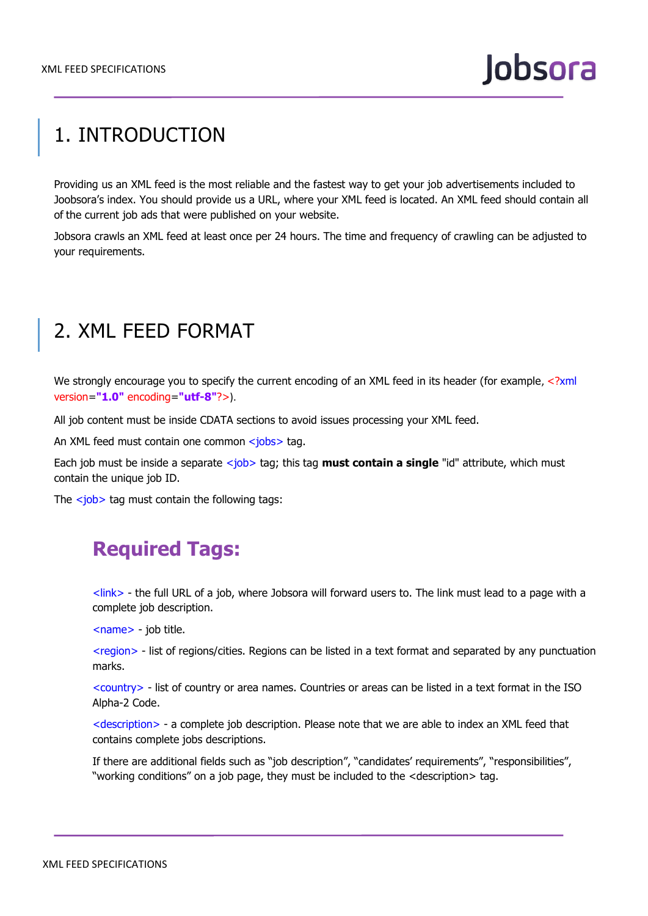# 1. INTRODUCTION

Providing us an XML feed is the most reliable and the fastest way to get your job advertisements included to Joobsora's index. You should provide us a URL, where your XML feed is located. An XML feed should contain all of the current job ads that were published on your website.

Jobsora crawls an XML feed at least once per 24 hours. The time and frequency of crawling can be adjusted to your requirements.

## 2. XML FEED FORMAT

We strongly encourage you to specify the current encoding of an XML feed in its header (for example, <?xml version=**"1.0"** encoding=**"utf-8"**?>).

All job content must be inside CDATA sections to avoid issues processing your XML feed.

An XML feed must contain one common <jobs> tag.

Each job must be inside a separate <job> tag; this tag **must contain a single** "id" attribute, which must contain the unique job ID.

The  $\langle$ job> tag must contain the following tags:

### **Required Tags:**

<link> - the full URL of a job, where Jobsora will forward users to. The link must lead to a page with a complete job description.

<name> - job title.

<region> - list of regions/cities. Regions can be listed in a text format and separated by any punctuation marks.

<country> - list of country or area names. Countries or areas can be listed in a text format in the ISO Alpha-2 Code.

<description> - a complete job description. Please note that we are able to index an XML feed that contains complete jobs descriptions.

If there are additional fields such as "job description", "candidates' requirements", "responsibilities", "working conditions" on a job page, they must be included to the <description> tag.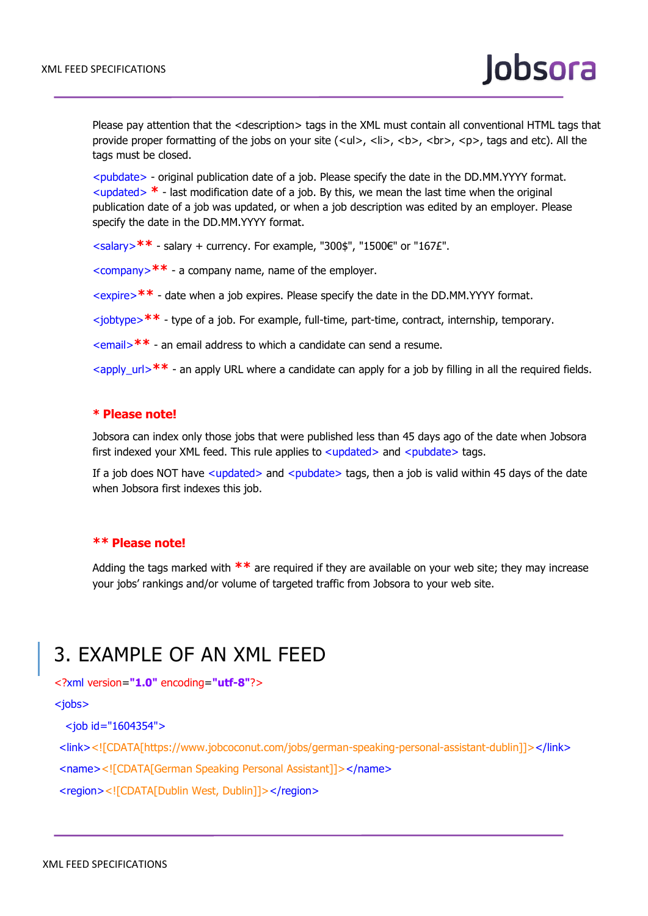Please pay attention that the <description> tags in the XML must contain all conventional HTML tags that provide proper formatting of the jobs on your site (<ul>, <li>, <br>> $\langle$ , <br/>b>, <br/> <br/>b>, tags and etc). All the tags must be closed.

<pubdate> - original publication date of a job. Please specify the date in the DD.MM.YYYY format.  $\lt$ updated $>$   $*$  - last modification date of a job. By this, we mean the last time when the original publication date of a job was updated, or when a job description was edited by an employer. Please specify the date in the DD.MM.YYYY format.

<salary>**\*\*** - salary + currency. For example, "300\$", "1500€" or "167£".

<company>**\*\*** - a company name, name of the employer.

<expire>**\*\*** - date when a job expires. Please specify the date in the DD.MM.YYYY format.

<jobtype>**\*\*** - type of a job. For example, full-time, part-time, contract, internship, temporary.

<email>**\*\*** - an email address to which a candidate can send a resume.

<apply\_url>**\*\*** - an apply URL where a candidate can apply for a job by filling in all the required fields.

#### **\* Please note!**

Jobsora can index only those jobs that were published less than 45 days ago of the date when Jobsora first indexed your XML feed. This rule applies to <updated> and <pubdate> tags.

If a job does NOT have  $\langle$ updated $\rangle$  and  $\langle$ pubdate $\rangle$  tags, then a job is valid within 45 days of the date when Jobsora first indexes this job.

#### **\*\* Please note!**

Adding the tags marked with **\*\*** are required if they are available on your web site; they may increase your jobs' rankings and/or volume of targeted traffic from Jobsora to your web site.

### 3. EXAMPLE OF AN XML FEED

<?xml version=**"1.0"** encoding=**"utf-8"**?>

<jobs>

<job id="1604354">

<link><![CDATA[https://www.jobcoconut.com/jobs/german-speaking-personal-assistant-dublin]]></link>

<name><![CDATA[German Speaking Personal Assistant]]></name>

<region><![CDATA[Dublin West, Dublin]]></region>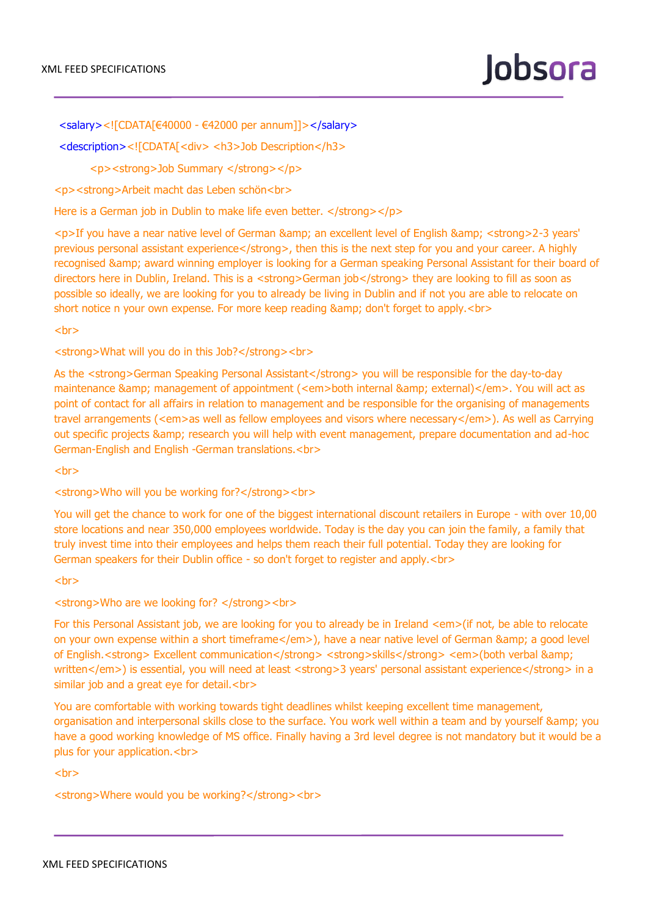<salary><![CDATA[€40000 - €42000 per annum]]></salary>

<description><![CDATA[<div> <h3>Job Description</h3>

<p><strong>Job Summary </strong></p>

<p><strong>Arbeit macht das Leben schön<br>

Here is a German job in Dublin to make life even better. </strong></p>

<p>If you have a near native level of German & amp; an excellent level of English & amp; < strong > 2-3 years' previous personal assistant experience</strong>, then this is the next step for you and your career. A highly recognised & amp; award winning employer is looking for a German speaking Personal Assistant for their board of directors here in Dublin, Ireland. This is a <strong>German job</strong> they are looking to fill as soon as possible so ideally, we are looking for you to already be living in Dublin and if not you are able to relocate on short notice n your own expense. For more keep reading & amp; don't forget to apply.<br/>>br>

 $chr$ 

<strong>What will you do in this Job?</strong><br>

As the <strong>German Speaking Personal Assistant</strong> you will be responsible for the day-to-day maintenance & amp; management of appointment (<em>both internal & amp; external)</em>. You will act as point of contact for all affairs in relation to management and be responsible for the organising of managements travel arrangements (<em>as well as fellow employees and visors where necessary</em>). As well as Carrying out specific projects & amp; research you will help with event management, prepare documentation and ad-hoc German-English and English -German translations.<br>

 $<sub>2</sub>$ 

<strong>Who will you be working for?</strong><br>

You will get the chance to work for one of the biggest international discount retailers in Europe - with over 10,00 store locations and near 350,000 employees worldwide. Today is the day you can join the family, a family that truly invest time into their employees and helps them reach their full potential. Today they are looking for German speakers for their Dublin office - so don't forget to register and apply.<br>

 $chr$ 

<strong>Who are we looking for? </strong><br>

For this Personal Assistant job, we are looking for you to already be in Ireland <em>(if not, be able to relocate on your own expense within a short timeframe</em>), have a near native level of German & amp; a good level of English.<strong> Excellent communication</strong> <strong>skills</strong> <em>(both verbal &amp; written</em>) is essential, you will need at least <strong>3 years' personal assistant experience</strong> in a similar job and a great eye for detail.<br>

You are comfortable with working towards tight deadlines whilst keeping excellent time management, organisation and interpersonal skills close to the surface. You work well within a team and by yourself & amp; you have a good working knowledge of MS office. Finally having a 3rd level degree is not mandatory but it would be a plus for your application.<br>

<br>

<strong>Where would you be working?</strong><br>